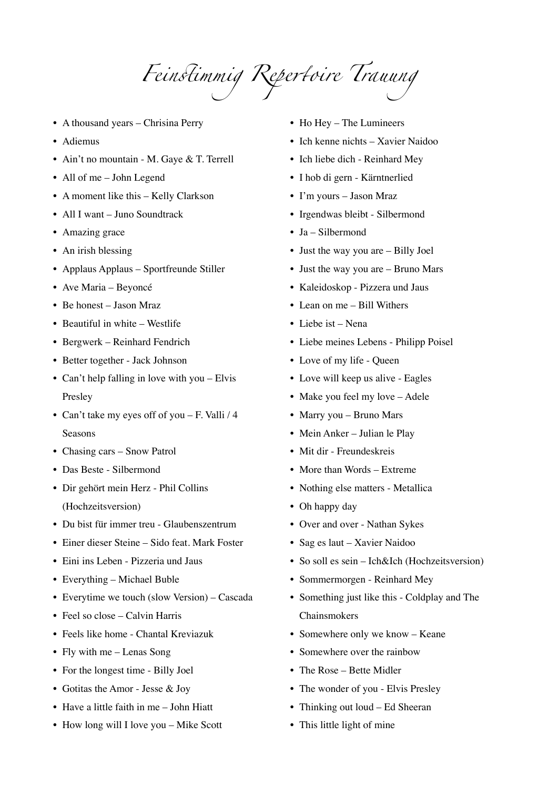*Fein*s*immig Repe*r*oire Trauung* 

- A thousand years Chrisina Perry
- Adiemus
- Ain't no mountain M. Gaye & T. Terrell
- All of me John Legend
- A moment like this Kelly Clarkson
- All I want Juno Soundtrack
- Amazing grace
- An irish blessing
- Applaus Applaus Sportfreunde Stiller
- Ave Maria Beyoncé
- Be honest Jason Mraz
- Beautiful in white Westlife
- Bergwerk Reinhard Fendrich
- Better together Jack Johnson
- Can't help falling in love with you Elvis Presley
- Can't take my eyes off of you F. Valli / 4 Seasons
- Chasing cars Snow Patrol
- Das Beste Silbermond
- Dir gehört mein Herz Phil Collins (Hochzeitsversion)
- Du bist für immer treu Glaubenszentrum
- Einer dieser Steine Sido feat. Mark Foster
- Eini ins Leben Pizzeria und Jaus
- Everything Michael Buble
- Everytime we touch (slow Version) Cascada
- Feel so close Calvin Harris
- Feels like home Chantal Kreviazuk
- Fly with me Lenas Song
- For the longest time Billy Joel
- Gotitas the Amor Jesse & Joy
- Have a little faith in me John Hiatt
- How long will I love you Mike Scott
- Ho Hey The Lumineers
- Ich kenne nichts Xavier Naidoo
- Ich liebe dich Reinhard Mey
- I hob di gern Kärntnerlied
- I'm yours Jason Mraz
- Irgendwas bleibt Silbermond
- Ja Silbermond
- Just the way you are Billy Joel
- Just the way you are Bruno Mars
- Kaleidoskop Pizzera und Jaus
- Lean on me Bill Withers
- Liebe ist Nena
- Liebe meines Lebens Philipp Poisel
- Love of my life Queen
- Love will keep us alive Eagles
- Make you feel my love Adele
- Marry you Bruno Mars
- Mein Anker Julian le Play
- Mit dir Freundeskreis
- More than Words Extreme
- Nothing else matters Metallica
- Oh happy day
- Over and over Nathan Sykes
- Sag es laut Xavier Naidoo
- So soll es sein Ich&Ich (Hochzeitsversion)
- Sommermorgen Reinhard Mey
- Something just like this Coldplay and The Chainsmokers
- Somewhere only we know Keane
- Somewhere over the rainbow
- The Rose Bette Midler
- The wonder of you Elvis Presley
- Thinking out loud Ed Sheeran
- This little light of mine